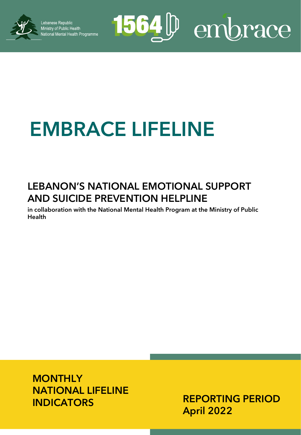

Lebanese Republic **Localisty of Public Health**<br>Ministry of Public Health<br>National Mental Health Programme

# 1564<sup>D</sup> embrace

## **EMBRACE LIFELINE**

### **LEBANON'S NATIONAL EMOTIONAL SUPPORT AND SUICIDE PREVENTION HELPLINE**

**in collaboration with the National Mental Health Program at the Ministry of Public Health**

**MONTHLY NATIONAL LIFELINE INDICATORS**

**REPORTING PERIOD April 2022**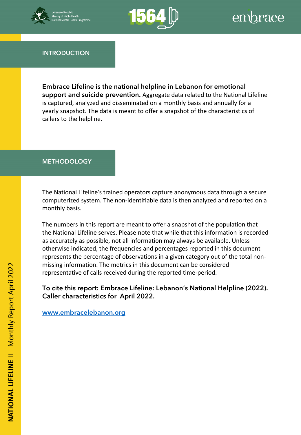



**INTRODUCTION**

**Embrace Lifeline is the national helpline in Lebanon for emotional support and suicide prevention.** Aggregate data related to the National Lifeline is captured, analyzed and disseminated on a monthly basis and annually for a yearly snapshot. The data is meant to offer a snapshot of the characteristics of callers to the helpline.

#### **METHODOLOGY**

computerized system. The non-identifiable data is then analyzed and reported on a The National Lifeline's trained operators capture anonymous data through a secure monthly basis.

The numbers in this report are meant to offer a snapshot of the population that the National Lifeline serves. Please note that while that this information is recorded as accurately as possible, not all information may always be available. Unless otherwise indicated, the frequencies and percentages reported in this document represents the percentage of observations in a given category out of the total nonmissing information. The metrics in this document can be considered representative of calls received during the reported time-period.

**To cite this report: Embrace Lifeline: Lebanon's National Helpline (2022). Caller characteristics for April 2022.** 

**[www.embracelebanon.org](http://www.embracelebanon.org/)**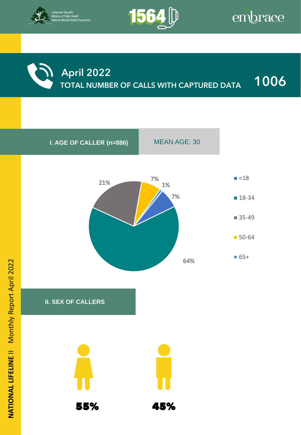



**April 2022**

**TOTAL NUMBER OF CALLS WITH CAPTURED DATA 1006**

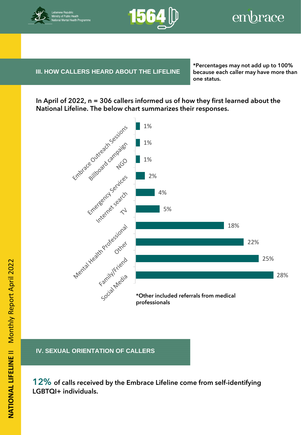



**III. HOW CALLERS HEARD ABOUT THE LIFELINE** because

**IV. BENEFICIARY INFORMATION**

**\*Percentages may not add up to 100% because each caller may have more than one status.**

**In April of 2022, n = 306 callers informed us of how they first learned about the National Lifeline. The below chart summarizes their responses.**



**IV. SEXUAL ORIENTATION OF CALLERS**

**12% of calls received by the Embrace Lifeline come from self-identifying LGBTQI+ individuals.**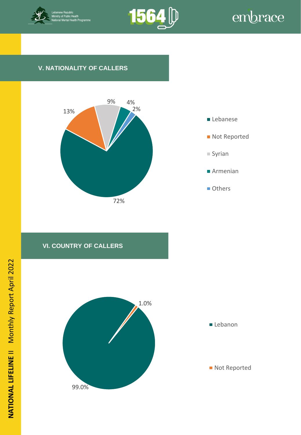



#### **V. NATIONALITY OF CALLERS**





#### **VI. COUNTRY OF CALLERS**

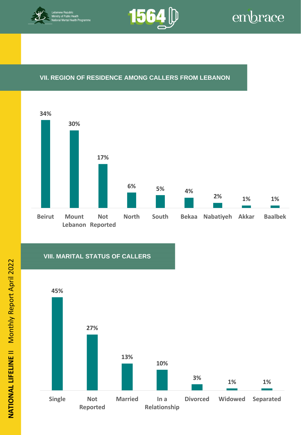



#### **VII. REGION OF RESIDENCE AMONG CALLERS FROM LEBANON**



#### **VIII. MARITAL STATUS OF CALLERS**

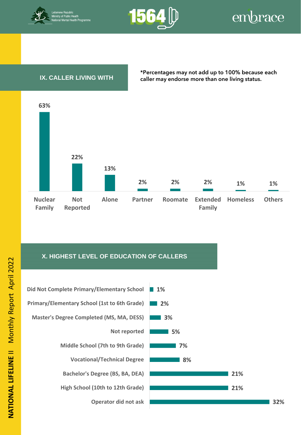



#### **IX. CALLER LIVING WITH**

**\*Percentages may not add up to 100% because each caller may endorse more than one living status.**



#### **X. HIGHEST LEVEL OF EDUCATION OF CALLERS**





**32%**

**NATIONAL LIFELINE** II Monthly Report April 2022 NATIONAL LIFELINE II Monthly Report April 2022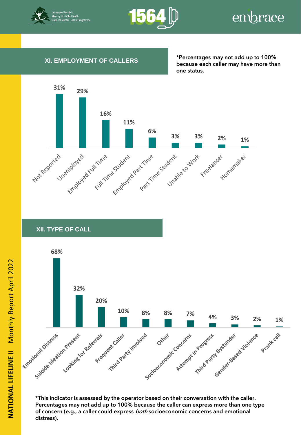



#### **XI. EMPLOYMENT OF CALLERS**

**\*Percentages may not add up to 100% because each caller may have more than one status.**



#### **XII. TYPE OF CALL**



**\*This indicator is assessed by the operator based on their conversation with the caller. Percentages may not add up to 100% because the caller can express more than one type of concern (e.g., a caller could express both socioeconomic concerns and emotional distress).**